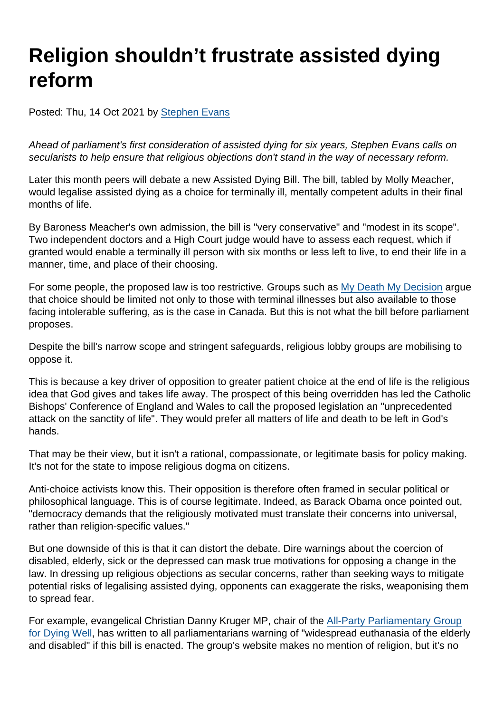# Religion shouldn't frustrate assisted dying reform

Posted: Thu, 14 Oct 2021 by [Stephen Evans](https://www.secularism.org.uk/opinion/authors/845)

Ahead of parliament's first consideration of assisted dying for six years, Stephen Evans calls on secularists to help ensure that religious objections don't stand in the way of necessary reform.

Later this month peers will debate a new Assisted Dying Bill. The bill, tabled by Molly Meacher, would legalise assisted dying as a choice for terminally ill, mentally competent adults in their final months of life.

By Baroness Meacher's own admission, the bill is "very conservative" and "modest in its scope". Two independent doctors and a High Court judge would have to assess each request, which if granted would enable a terminally ill person with six months or less left to live, to end their life in a manner, time, and place of their choosing.

For some people, the proposed law is too restrictive. Groups such as [My Death My Decision](https://www.mydeath-mydecision.org.uk/what-we-want/) argue that choice should be limited not only to those with terminal illnesses but also available to those facing intolerable suffering, as is the case in Canada. But this is not what the bill before parliament proposes.

Despite the bill's narrow scope and stringent safeguards, religious lobby groups are mobilising to oppose it.

This is because a key driver of opposition to greater patient choice at the end of life is the religious idea that God gives and takes life away. The prospect of this being overridden has led the Catholic Bishops' Conference of England and Wales to call the proposed legislation an "unprecedented attack on the sanctity of life". They would prefer all matters of life and death to be left in God's hands.

That may be their view, but it isn't a rational, compassionate, or legitimate basis for policy making. It's not for the state to impose religious dogma on citizens.

Anti-choice activists know this. Their opposition is therefore often framed in secular political or philosophical language. This is of course legitimate. Indeed, as Barack Obama once pointed out, "democracy demands that the religiously motivated must translate their concerns into universal, rather than religion-specific values."

But one downside of this is that it can distort the debate. Dire warnings about the coercion of disabled, elderly, sick or the depressed can mask true motivations for opposing a change in the law. In dressing up religious objections as secular concerns, rather than seeking ways to mitigate potential risks of legalising assisted dying, opponents can exaggerate the risks, weaponising them to spread fear.

For example, evangelical Christian Danny Kruger MP, chair of the [All-Party Parliamentary Group](https://www.dyingwell.co.uk/about/) [for Dying Well,](https://www.dyingwell.co.uk/about/) has written to all parliamentarians warning of "widespread euthanasia of the elderly and disabled" if this bill is enacted. The group's website makes no mention of religion, but it's no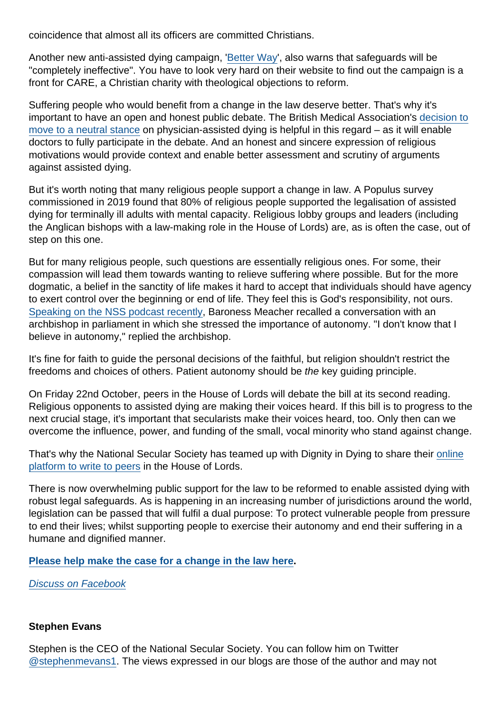coincidence that almost all its officers are committed Christians.

Another new anti-assisted dying campaign, '[Better Way](https://www.betterwaycampaign.co.uk/)', also warns that safeguards will be "completely ineffective". You have to look very hard on their website to find out the campaign is a front for CARE, a Christian charity with theological objections to reform.

Suffering people who would benefit from a change in the law deserve better. That's why it's important to have an open and honest public debate. The British Medical Association's [decision to](https://www.secularism.org.uk/news/2021/09/doctors-union-drops-opposition-to-assisted-dying) [move to a neutral stance](https://www.secularism.org.uk/news/2021/09/doctors-union-drops-opposition-to-assisted-dying) on physician-assisted dying is helpful in this regard – as it will enable doctors to fully participate in the debate. And an honest and sincere expression of religious motivations would provide context and enable better assessment and scrutiny of arguments against assisted dying.

But it's worth noting that many religious people support a change in law. A Populus survey commissioned in 2019 found that 80% of religious people supported the legalisation of assisted dying for terminally ill adults with mental capacity. Religious lobby groups and leaders (including the Anglican bishops with a law-making role in the House of Lords) are, as is often the case, out of step on this one.

But for many religious people, such questions are essentially religious ones. For some, their compassion will lead them towards wanting to relieve suffering where possible. But for the more dogmatic, a belief in the sanctity of life makes it hard to accept that individuals should have agency to exert control over the beginning or end of life. They feel this is God's responsibility, not ours. [Speaking on the NSS podcast recently](https://www.secularism.org.uk/podcast/2021/09/ep-56), Baroness Meacher recalled a conversation with an archbishop in parliament in which she stressed the importance of autonomy. "I don't know that I believe in autonomy," replied the archbishop.

It's fine for faith to guide the personal decisions of the faithful, but religion shouldn't restrict the freedoms and choices of others. Patient autonomy should be the key guiding principle.

On Friday 22nd October, peers in the House of Lords will debate the bill at its second reading. Religious opponents to assisted dying are making their voices heard. If this bill is to progress to the next crucial stage, it's important that secularists make their voices heard, too. Only then can we overcome the influence, power, and funding of the small, vocal minority who stand against change.

That's why the National Secular Society has teamed up with Dignity in Dying to share their [online](https://action.dignityindying.org.uk/page/91717/data/1) [platform to write to peers](https://action.dignityindying.org.uk/page/91717/data/1) in the House of Lords.

There is now overwhelming public support for the law to be reformed to enable assisted dying with robust legal safeguards. As is happening in an increasing number of jurisdictions around the world, legislation can be passed that will fulfil a dual purpose: To protect vulnerable people from pressure to end their lives; whilst supporting people to exercise their autonomy and end their suffering in a humane and dignified manner.

[Please help make the case for a change in the law here](https://action.dignityindying.org.uk/page/91717/data/1)

[Discuss on Facebook](https://www.facebook.com/NationalSecularSociety/posts/4429325897135727?__xts__[0]=68.ARBtUSXjVylEgw90TeN41p9MmGocEBP83Mg9KsXW4teN4kLxwjLgkpy4FGHy-mI2OJDqFpzJ_5GLntA4F4DTbfhWimaA3a88RTzqEHhlP26mMWwLlYFM-zuntlGX1nPFTm5hFjHbql6umMWr4JtlovbLx3rMUdq0kSOlVV2eWrz15oDizfIuCe2Q58vxCZMEwFeNYJKIzGTQw8a_IZXUqIllnEhx7Yx-zVAXTmEuFM16JeFww1Mz89JrdGGBD_QjPeyw5KzOygJKUIGZVbSx4Zw77cLWBoLv&__tn__=-R)

#### Stephen Evans

Stephen is the CEO of the National Secular Society. You can follow him on Twitter [@stephenmevans1.](https://twitter.com/stephenmevans1?lang=en-gb) The views expressed in our blogs are those of the author and may not